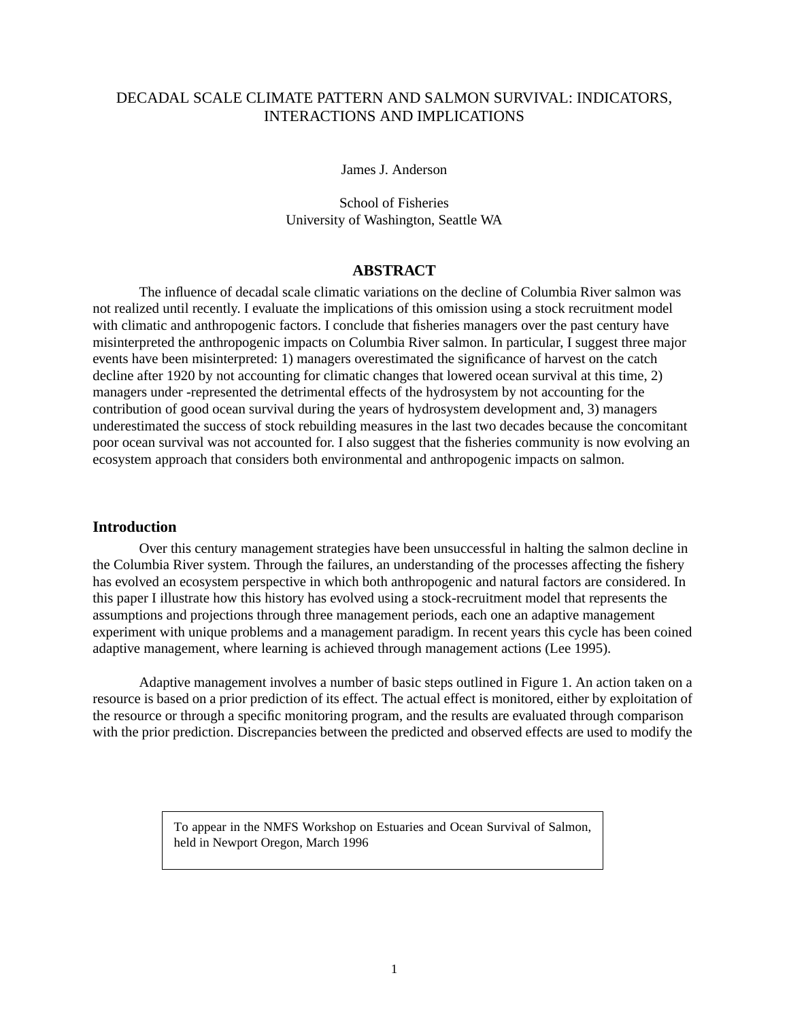# DECADAL SCALE CLIMATE PATTERN AND SALMON SURVIVAL: INDICATORS, INTERACTIONS AND IMPLICATIONS

James J. Anderson

School of Fisheries University of Washington, Seattle WA

# **ABSTRACT**

The influence of decadal scale climatic variations on the decline of Columbia River salmon was not realized until recently. I evaluate the implications of this omission using a stock recruitment model with climatic and anthropogenic factors. I conclude that fisheries managers over the past century have misinterpreted the anthropogenic impacts on Columbia River salmon. In particular, I suggest three major events have been misinterpreted: 1) managers overestimated the significance of harvest on the catch decline after 1920 by not accounting for climatic changes that lowered ocean survival at this time, 2) managers under -represented the detrimental effects of the hydrosystem by not accounting for the contribution of good ocean survival during the years of hydrosystem development and, 3) managers underestimated the success of stock rebuilding measures in the last two decades because the concomitant poor ocean survival was not accounted for. I also suggest that the fisheries community is now evolving an ecosystem approach that considers both environmental and anthropogenic impacts on salmon.

### **Introduction**

Over this century management strategies have been unsuccessful in halting the salmon decline in the Columbia River system. Through the failures, an understanding of the processes affecting the fishery has evolved an ecosystem perspective in which both anthropogenic and natural factors are considered. In this paper I illustrate how this history has evolved using a stock-recruitment model that represents the assumptions and projections through three management periods, each one an adaptive management experiment with unique problems and a management paradigm. In recent years this cycle has been coined adaptive management, where learning is achieved through management actions (Lee 1995).

Adaptive management involves a number of basic steps outlined in [Figure 1](#page-1-0). An action taken on a resource is based on a prior prediction of its effect. The actual effect is monitored, either by exploitation of the resource or through a specific monitoring program, and the results are evaluated through comparison with the prior prediction. Discrepancies between the predicted and observed effects are used to modify the

> To appear in the NMFS Workshop on Estuaries and Ocean Survival of Salmon, held in Newport Oregon, March 1996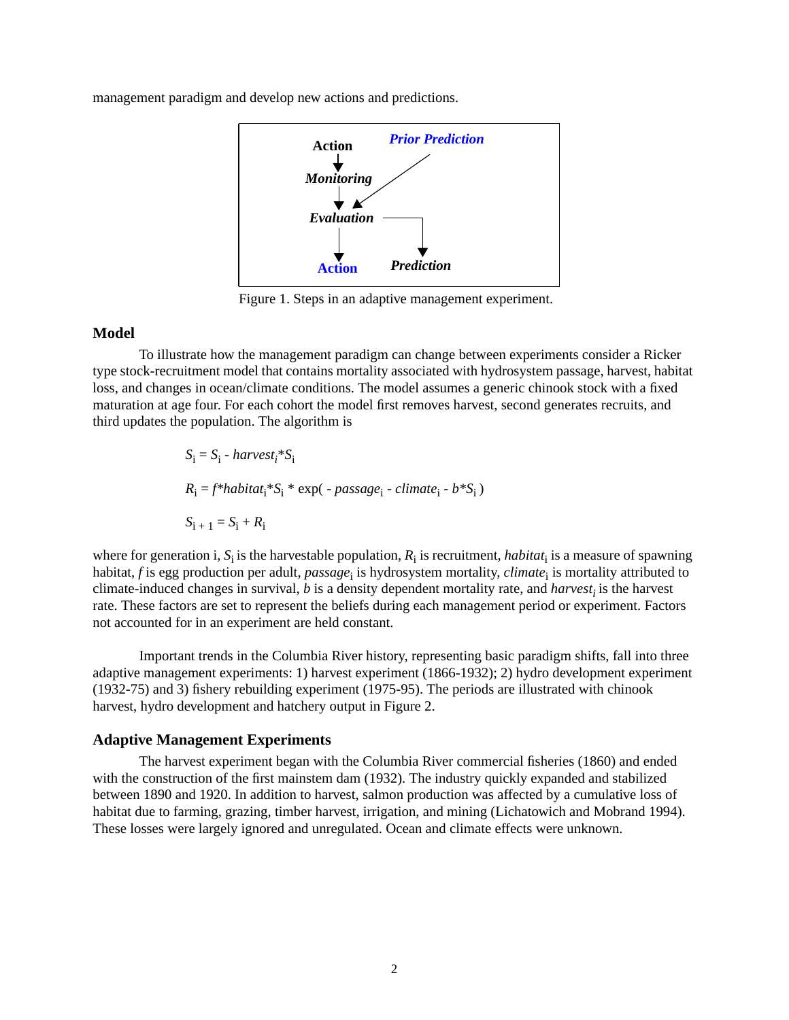<span id="page-1-0"></span>management paradigm and develop new actions and predictions.



Figure 1. Steps in an adaptive management experiment.

#### **Model**

To illustrate how the management paradigm can change between experiments consider a Ricker type stock-recruitment model that contains mortality associated with hydrosystem passage, harvest, habitat loss, and changes in ocean/climate conditions. The model assumes a generic chinook stock with a fixed maturation at age four. For each cohort the model first removes harvest, second generates recruits, and third updates the population. The algorithm is

$$
S_i = S_i - harvest_i * S_i
$$
  
\n
$$
R_i = f * habitat_i * S_i * exp(-passage_i - climate_i - b * S_i)
$$
  
\n
$$
S_{i+1} = S_i + R_i
$$

where for generation i,  $S_i$  is the harvestable population,  $R_i$  is recruitment, *habitat*<sub>i</sub> is a measure of spawning habitat,  $f$  is egg production per adult,  $passage_{\rm i}$  is hydrosystem mortality,  ${\it climate}_{\rm i}$  is mortality attributed to climate-induced changes in survival,  $b$  is a density dependent mortality rate, and  $harvest<sub>i</sub>$  is the harvest rate. These factors are set to represent the beliefs during each management period or experiment. Factors not accounted for in an experiment are held constant.

Important trends in the Columbia River history, representing basic paradigm shifts, fall into three adaptive management experiments: 1) harvest experiment (1866-1932); 2) hydro development experiment (1932-75) and 3) fishery rebuilding experiment (1975-95). The periods are illustrated with chinook harvest, hydro development and hatchery output in [Figure 2](#page-2-0).

#### **Adaptive Management Experiments**

The harvest experiment began with the Columbia River commercial fisheries (1860) and ended with the construction of the first mainstem dam (1932). The industry quickly expanded and stabilized between 1890 and 1920. In addition to harvest, salmon production was affected by a cumulative loss of habitat due to farming, grazing, timber harvest, irrigation, and mining (Lichatowich and Mobrand 1994). These losses were largely ignored and unregulated. Ocean and climate effects were unknown.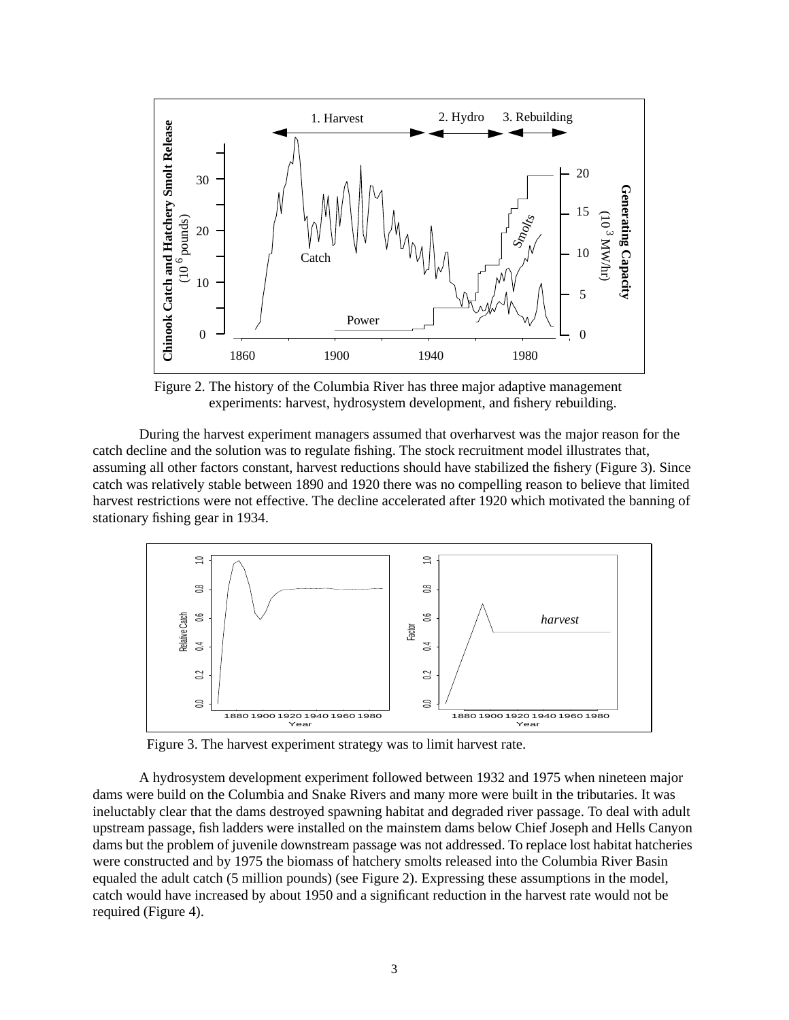<span id="page-2-0"></span>

Figure 2. The history of the Columbia River has three major adaptive management experiments: harvest, hydrosystem development, and fishery rebuilding.

During the harvest experiment managers assumed that overharvest was the major reason for the catch decline and the solution was to regulate fishing. The stock recruitment model illustrates that, assuming all other factors constant, harvest reductions should have stabilized the fishery (Figure 3). Since catch was relatively stable between 1890 and 1920 there was no compelling reason to believe that limited harvest restrictions were not effective. The decline accelerated after 1920 which motivated the banning of stationary fishing gear in 1934.



Figure 3. The harvest experiment strategy was to limit harvest rate.

A hydrosystem development experiment followed between 1932 and 1975 when nineteen major dams were build on the Columbia and Snake Rivers and many more were built in the tributaries. It was ineluctably clear that the dams destroyed spawning habitat and degraded river passage. To deal with adult upstream passage, fish ladders were installed on the mainstem dams below Chief Joseph and Hells Canyon dams but the problem of juvenile downstream passage was not addressed. To replace lost habitat hatcheries were constructed and by 1975 the biomass of hatchery smolts released into the Columbia River Basin equaled the adult catch (5 million pounds) (see Figure 2). Expressing these assumptions in the model, catch would have increased by about 1950 and a significant reduction in the harvest rate would not be required [\(Figure 4](#page-3-0)).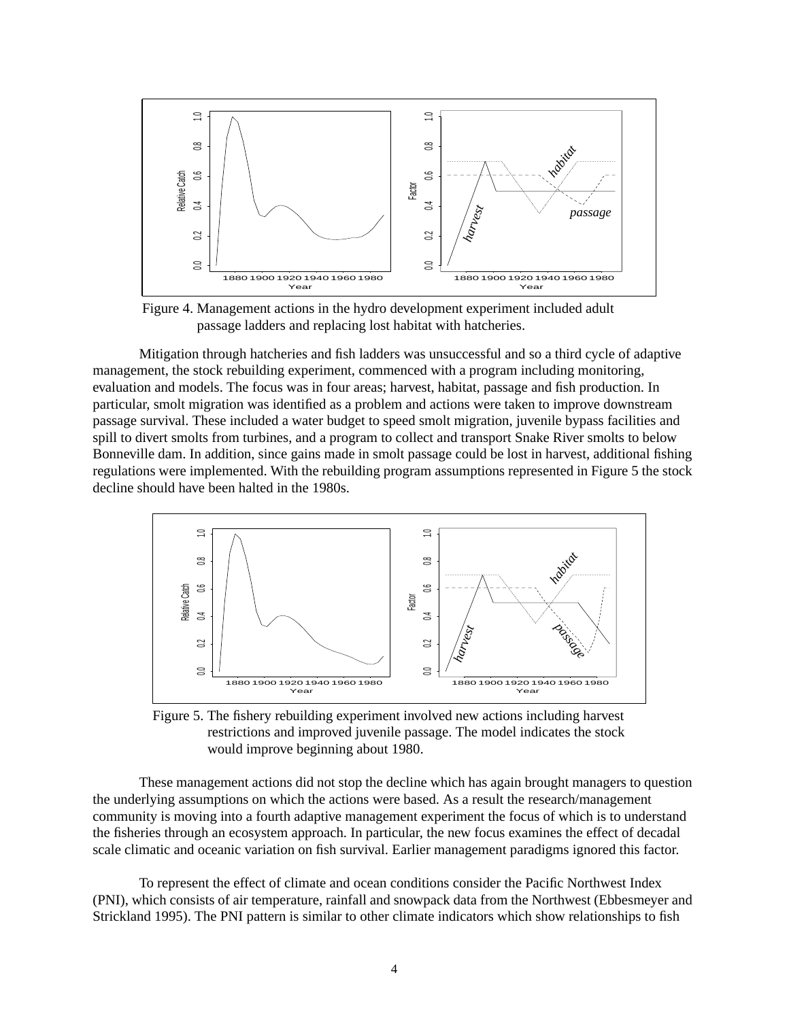<span id="page-3-0"></span>

Figure 4. Management actions in the hydro development experiment included adult passage ladders and replacing lost habitat with hatcheries.

Mitigation through hatcheries and fish ladders was unsuccessful and so a third cycle of adaptive management, the stock rebuilding experiment, commenced with a program including monitoring, evaluation and models. The focus was in four areas; harvest, habitat, passage and fish production. In particular, smolt migration was identified as a problem and actions were taken to improve downstream passage survival. These included a water budget to speed smolt migration, juvenile bypass facilities and spill to divert smolts from turbines, and a program to collect and transport Snake River smolts to below Bonneville dam. In addition, since gains made in smolt passage could be lost in harvest, additional fishing regulations were implemented. With the rebuilding program assumptions represented in Figure 5 the stock decline should have been halted in the 1980s.



Figure 5. The fishery rebuilding experiment involved new actions including harvest restrictions and improved juvenile passage. The model indicates the stock would improve beginning about 1980.

These management actions did not stop the decline which has again brought managers to question the underlying assumptions on which the actions were based. As a result the research/management community is moving into a fourth adaptive management experiment the focus of which is to understand the fisheries through an ecosystem approach. In particular, the new focus examines the effect of decadal scale climatic and oceanic variation on fish survival. Earlier management paradigms ignored this factor.

To represent the effect of climate and ocean conditions consider the Pacific Northwest Index (PNI), which consists of air temperature, rainfall and snowpack data from the Northwest (Ebbesmeyer and Strickland 1995). The PNI pattern is similar to other climate indicators which show relationships to fish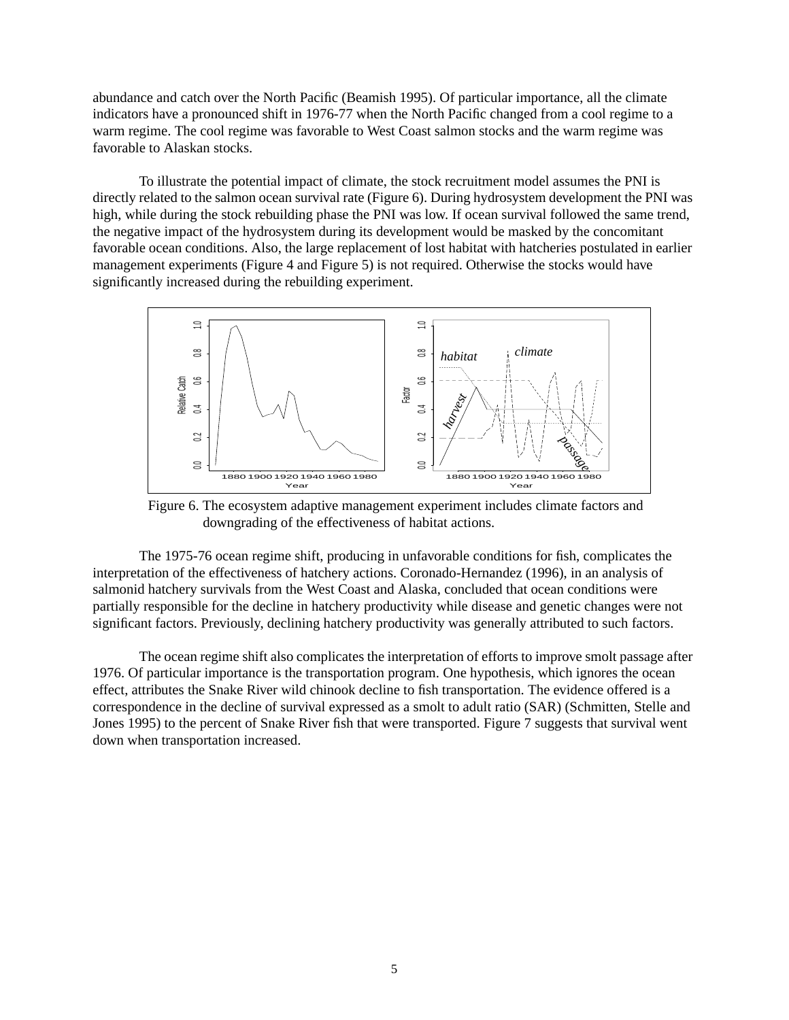<span id="page-4-0"></span>abundance and catch over the North Pacific (Beamish 1995). Of particular importance, all the climate indicators have a pronounced shift in 1976-77 when the North Pacific changed from a cool regime to a warm regime. The cool regime was favorable to West Coast salmon stocks and the warm regime was favorable to Alaskan stocks.

To illustrate the potential impact of climate, the stock recruitment model assumes the PNI is directly related to the salmon ocean survival rate (Figure 6). During hydrosystem development the PNI was high, while during the stock rebuilding phase the PNI was low. If ocean survival followed the same trend, the negative impact of the hydrosystem during its development would be masked by the concomitant favorable ocean conditions. Also, the large replacement of lost habitat with hatcheries postulated in earlier management experiments ([Figure 4](#page-3-0) and [Figure 5](#page-3-0)) is not required. Otherwise the stocks would have significantly increased during the rebuilding experiment.



Figure 6. The ecosystem adaptive management experiment includes climate factors and downgrading of the effectiveness of habitat actions.

The 1975-76 ocean regime shift, producing in unfavorable conditions for fish, complicates the interpretation of the effectiveness of hatchery actions. Coronado-Hernandez (1996), in an analysis of salmonid hatchery survivals from the West Coast and Alaska, concluded that ocean conditions were partially responsible for the decline in hatchery productivity while disease and genetic changes were not significant factors. Previously, declining hatchery productivity was generally attributed to such factors.

The ocean regime shift also complicates the interpretation of efforts to improve smolt passage after 1976. Of particular importance is the transportation program. One hypothesis, which ignores the ocean effect, attributes the Snake River wild chinook decline to fish transportation. The evidence offered is a correspondence in the decline of survival expressed as a smolt to adult ratio (SAR) (Schmitten, Stelle and Jones 1995) to the percent of Snake River fish that were transported. [Figure 7](#page-5-0) suggests that survival went down when transportation increased.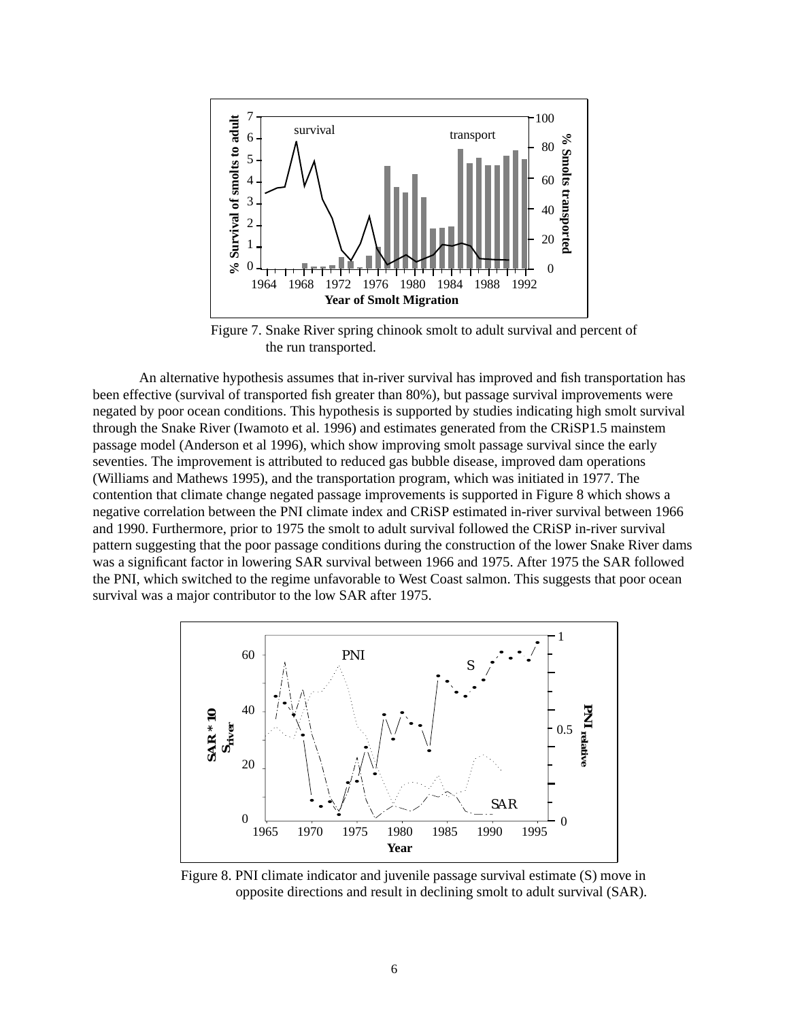<span id="page-5-0"></span>

Figure 7. Snake River spring chinook smolt to adult survival and percent of the run transported.

An alternative hypothesis assumes that in-river survival has improved and fish transportation has been effective (survival of transported fish greater than 80%), but passage survival improvements were negated by poor ocean conditions. This hypothesis is supported by studies indicating high smolt survival through the Snake River (Iwamoto et al. 1996) and estimates generated from the CRiSP1.5 mainstem passage model (Anderson et al 1996), which show improving smolt passage survival since the early seventies. The improvement is attributed to reduced gas bubble disease, improved dam operations (Williams and Mathews 1995), and the transportation program, which was initiated in 1977. The contention that climate change negated passage improvements is supported in Figure 8 which shows a negative correlation between the PNI climate index and CRiSP estimated in-river survival between 1966 and 1990. Furthermore, prior to 1975 the smolt to adult survival followed the CRiSP in-river survival pattern suggesting that the poor passage conditions during the construction of the lower Snake River dams was a significant factor in lowering SAR survival between 1966 and 1975. After 1975 the SAR followed the PNI, which switched to the regime unfavorable to West Coast salmon. This suggests that poor ocean survival was a major contributor to the low SAR after 1975.



Figure 8. PNI climate indicator and juvenile passage survival estimate (S) move in opposite directions and result in declining smolt to adult survival (SAR).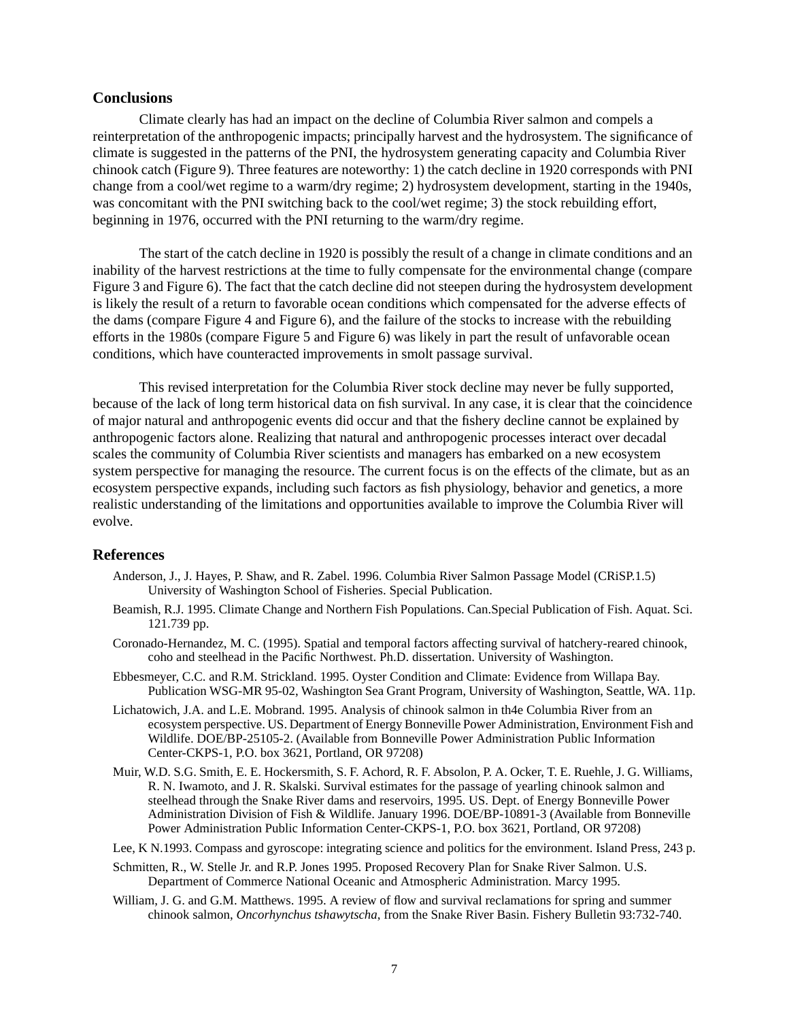## **Conclusions**

Climate clearly has had an impact on the decline of Columbia River salmon and compels a reinterpretation of the anthropogenic impacts; principally harvest and the hydrosystem. The significance of climate is suggested in the patterns of the PNI, the hydrosystem generating capacity and Columbia River chinook catch [\(Figure 9\)](#page-7-0). Three features are noteworthy: 1) the catch decline in 1920 corresponds with PNI change from a cool/wet regime to a warm/dry regime; 2) hydrosystem development, starting in the 1940s, was concomitant with the PNI switching back to the cool/wet regime; 3) the stock rebuilding effort, beginning in 1976, occurred with the PNI returning to the warm/dry regime.

The start of the catch decline in 1920 is possibly the result of a change in climate conditions and an inability of the harvest restrictions at the time to fully compensate for the environmental change (compare [Figure 3](#page-2-0) and [Figure 6\)](#page-4-0). The fact that the catch decline did not steepen during the hydrosystem development is likely the result of a return to favorable ocean conditions which compensated for the adverse effects of the dams (compare [Figure 4](#page-3-0) and [Figure 6\)](#page-4-0), and the failure of the stocks to increase with the rebuilding efforts in the 1980s (compare [Figure 5](#page-3-0) and [Figure 6](#page-4-0)) was likely in part the result of unfavorable ocean conditions, which have counteracted improvements in smolt passage survival.

This revised interpretation for the Columbia River stock decline may never be fully supported, because of the lack of long term historical data on fish survival. In any case, it is clear that the coincidence of major natural and anthropogenic events did occur and that the fishery decline cannot be explained by anthropogenic factors alone. Realizing that natural and anthropogenic processes interact over decadal scales the community of Columbia River scientists and managers has embarked on a new ecosystem system perspective for managing the resource. The current focus is on the effects of the climate, but as an ecosystem perspective expands, including such factors as fish physiology, behavior and genetics, a more realistic understanding of the limitations and opportunities available to improve the Columbia River will evolve.

#### **References**

- Anderson, J., J. Hayes, P. Shaw, and R. Zabel. 1996. Columbia River Salmon Passage Model (CRiSP.1.5) University of Washington School of Fisheries. Special Publication.
- Beamish, R.J. 1995. Climate Change and Northern Fish Populations. Can.Special Publication of Fish. Aquat. Sci. 121.739 pp.
- Coronado-Hernandez, M. C. (1995). Spatial and temporal factors affecting survival of hatchery-reared chinook, coho and steelhead in the Pacific Northwest. Ph.D. dissertation. University of Washington.
- Ebbesmeyer, C.C. and R.M. Strickland. 1995. Oyster Condition and Climate: Evidence from Willapa Bay. Publication WSG-MR 95-02, Washington Sea Grant Program, University of Washington, Seattle, WA. 11p.
- Lichatowich, J.A. and L.E. Mobrand. 1995. Analysis of chinook salmon in th4e Columbia River from an ecosystem perspective. US. Department of Energy Bonneville Power Administration, Environment Fish and Wildlife. DOE/BP-25105-2. (Available from Bonneville Power Administration Public Information Center-CKPS-1, P.O. box 3621, Portland, OR 97208)
- Muir, W.D. S.G. Smith, E. E. Hockersmith, S. F. Achord, R. F. Absolon, P. A. Ocker, T. E. Ruehle, J. G. Williams, R. N. Iwamoto, and J. R. Skalski. Survival estimates for the passage of yearling chinook salmon and steelhead through the Snake River dams and reservoirs, 1995. US. Dept. of Energy Bonneville Power Administration Division of Fish & Wildlife. January 1996. DOE/BP-10891-3 (Available from Bonneville Power Administration Public Information Center-CKPS-1, P.O. box 3621, Portland, OR 97208)
- Lee, K N.1993. Compass and gyroscope: integrating science and politics for the environment. Island Press, 243 p.
- Schmitten, R., W. Stelle Jr. and R.P. Jones 1995. Proposed Recovery Plan for Snake River Salmon. U.S. Department of Commerce National Oceanic and Atmospheric Administration. Marcy 1995.
- William, J. G. and G.M. Matthews. 1995. A review of flow and survival reclamations for spring and summer chinook salmon, *Oncorhynchus tshawytscha*, from the Snake River Basin. Fishery Bulletin 93:732-740.